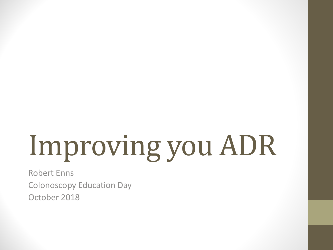# Improving you ADR

Robert Enns Colonoscopy Education Day October 2018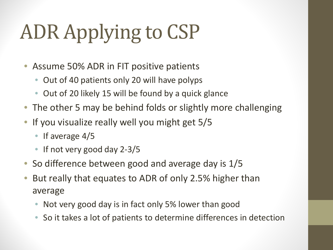### ADR Applying to CSP

- Assume 50% ADR in FIT positive patients
	- Out of 40 patients only 20 will have polyps
	- Out of 20 likely 15 will be found by a quick glance
- The other 5 may be behind folds or slightly more challenging
- If you visualize really well you might get 5/5
	- If average 4/5
	- If not very good day 2-3/5
- So difference between good and average day is 1/5
- But really that equates to ADR of only 2.5% higher than average
	- Not very good day is in fact only 5% lower than good
	- So it takes a lot of patients to determine differences in detection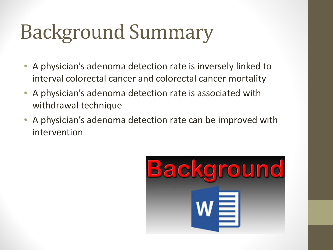### Background Summary

- A physician's adenoma detection rate is inversely linked to interval colorectal cancer and colorectal cancer mortality
- A physician's adenoma detection rate is associated with withdrawal technique
- A physician's adenoma detection rate can be improved with intervention

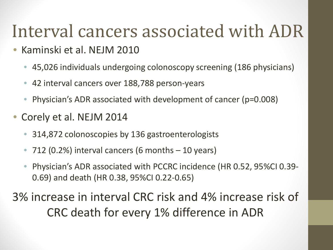### Interval cancers associated with ADR

- Kaminski et al. NEJM 2010
	- 45,026 individuals undergoing colonoscopy screening (186 physicians)
	- 42 interval cancers over 188,788 person-years
	- Physician's ADR associated with development of cancer (p=0.008)
- Corely et al. NEJM 2014
	- 314,872 colonoscopies by 136 gastroenterologists
	- 712 (0.2%) interval cancers (6 months  $-10$  years)
	- Physician's ADR associated with PCCRC incidence (HR 0.52, 95%CI 0.39- 0.69) and death (HR 0.38, 95%CI 0.22-0.65)

3% increase in interval CRC risk and 4% increase risk of CRC death for every 1% difference in ADR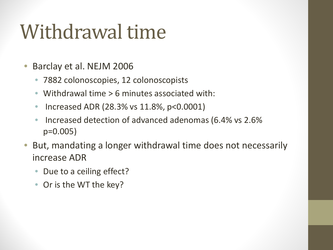### Withdrawal time

- Barclay et al. NEJM 2006
	- 7882 colonoscopies, 12 colonoscopists
	- Withdrawal time  $> 6$  minutes associated with:
	- Increased ADR (28.3% vs 11.8%, p<0.0001)
	- Increased detection of advanced adenomas (6.4% vs 2.6% p=0.005)
- But, mandating a longer withdrawal time does not necessarily increase ADR
	- Due to a ceiling effect?
	- Or is the WT the key?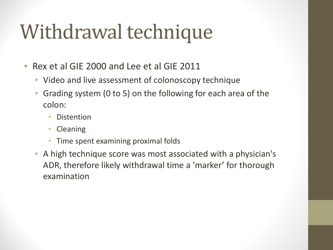### Withdrawal technique

- Rex et al GIE 2000 and Lee et al GIE 2011
	- Video and live assessment of colonoscopy technique
	- Grading system (0 to 5) on the following for each area of the colon:
		- **Distention**
		- Cleaning
		- Time spent examining proximal folds
	- A high technique score was most associated with a physician's ADR, therefore likely withdrawal time a 'marker' for thorough examination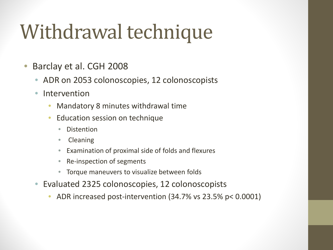### Withdrawal technique

- Barclay et al. CGH 2008
	- ADR on 2053 colonoscopies, 12 colonoscopists
	- **Intervention** 
		- Mandatory 8 minutes withdrawal time
		- Education session on technique
			- Distention
			- Cleaning
			- Examination of proximal side of folds and flexures
			- Re-inspection of segments
			- Torque maneuvers to visualize between folds
	- Evaluated 2325 colonoscopies, 12 colonoscopists
		- ADR increased post-intervention (34.7% vs 23.5% p< 0.0001)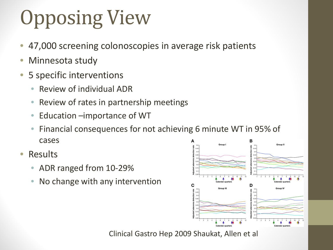## Opposing View

- 47,000 screening colonoscopies in average risk patients
- Minnesota study
- 5 specific interventions
	- Review of individual ADR
	- Review of rates in partnership meetings
	- Education –importance of WT
	- Financial consequences for not achieving 6 minute WT in 95% of cases Group
- **Results** 
	- ADR ranged from 10-29%
	- No change with any intervention



Clinical Gastro Hep 2009 Shaukat, Allen et al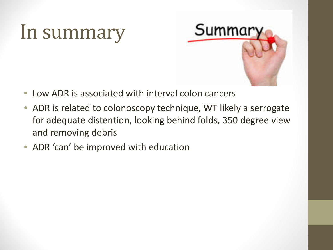### In summary



- Low ADR is associated with interval colon cancers
- ADR is related to colonoscopy technique, WT likely a serrogate for adequate distention, looking behind folds, 350 degree view and removing debris
- ADR 'can' be improved with education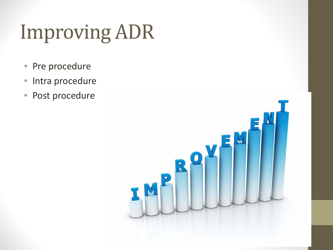### Improving ADR

- Pre procedure
- Intra procedure
- Post procedure

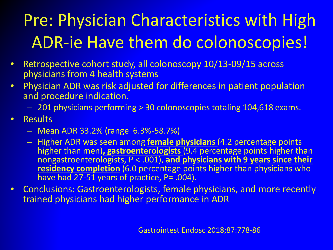### Pre: Physician Characteristics with High ADR-ie Have them do colonoscopies!

- Retrospective cohort study, all colonoscopy 10/13-09/15 across physicians from 4 health systems
- Physician ADR was risk adjusted for differences in patient population and procedure indication.
	- 201 physicians performing > 30 colonoscopies totaling 104,618 exams.
- **Results** 
	- Mean ADR 33.2% (range 6.3%-58.7%)
	- Higher ADR was seen among **female physicians** (4.2 percentage points higher than men)**, gastroenterologists** (9.4 percentage points higher than nongastroenterologists, P < .001), **and physicians with 9 years since their residency completion** (6.0 percentage points higher than physicians who have had 27-51 years of practice, P= .004).
- Conclusions: Gastroenterologists, female physicians, and more recently trained physicians had higher performance in ADR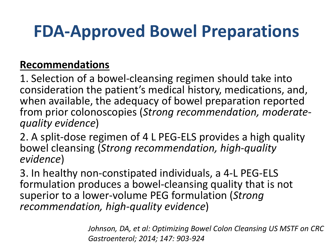### **FDA-Approved Bowel Preparations**

#### **Recommendations**

1. Selection of a bowel-cleansing regimen should take into consideration the patient's medical history, medications, and, when available, the adequacy of bowel preparation reported from prior colonoscopies (*Strong recommendation, moderate- quality evidence*)

2. A split-dose regimen of 4 L PEG-ELS provides a high quality bowel cleansing (*Strong recommendation, high-quality evidence*)

3. In healthy non-constipated individuals, a 4-L PEG-ELS formulation produces a bowel-cleansing quality that is not superior to a lower-volume PEG formulation (*Strong recommendation, high-quality evidence*)

> *Johnson, DA, et al: Optimizing Bowel Colon Cleansing US MSTF on CRC Gastroenterol; 2014; 147: 903-924*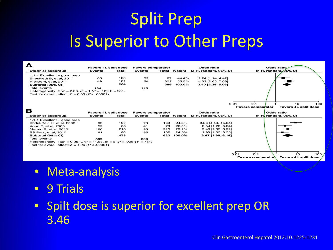### Split Prep Is Superior to Other Preps

| А                                                                                                     | Favors 4L split dose        |              | <b>Favors comparator</b> |     |                     | Odds ratio          |      |                                  | Odds ratio          |                                     |  |
|-------------------------------------------------------------------------------------------------------|-----------------------------|--------------|--------------------------|-----|---------------------|---------------------|------|----------------------------------|---------------------|-------------------------------------|--|
| Study or subgroup                                                                                     | <b>Events</b>               | <b>Total</b> | <b>Events</b>            |     | <b>Total Weight</b> | M-H, random, 95% CI |      |                                  | M-H, random, 95% CI |                                     |  |
| $1.1.1$ Excellent $-$ good prep                                                                       |                             |              |                          |     |                     |                     |      |                                  |                     |                                     |  |
| Enestvedt B, et al, 2011                                                                              | 85                          | 103          | 59                       | 87  | 44.4%               | 2.24 [1.14, 4.42]   |      |                                  |                     |                                     |  |
| Hjelkrem, et al, 2011                                                                                 | 49                          | 101          | 54                       | 302 | 55.5%               | 4.33 [2.65, 7.06]   |      |                                  |                     |                                     |  |
| Subtotal (95% CI)                                                                                     |                             | 204          |                          | 389 | 100.0%              | 3.40 [2.28, 5.06]   |      |                                  |                     |                                     |  |
| <b>Total events</b>                                                                                   | 134                         |              | 113                      |     |                     |                     |      |                                  |                     |                                     |  |
| Heterogeneity: Chi <sup>2</sup> = 2.38, df = 1 ( $P = .12$ ); $I^2 = 58\%$                            |                             |              |                          |     |                     |                     |      |                                  |                     |                                     |  |
| Test for overall effect: $Z = 6.03$ ( $P < .00001$ )                                                  |                             |              |                          |     |                     |                     |      |                                  |                     |                                     |  |
|                                                                                                       |                             |              |                          |     |                     |                     |      |                                  |                     |                                     |  |
|                                                                                                       |                             |              |                          |     |                     |                     |      |                                  |                     |                                     |  |
|                                                                                                       |                             |              |                          |     |                     |                     | O.O1 | O.1                              |                     | 10<br>100                           |  |
|                                                                                                       |                             |              |                          |     |                     |                     |      | <b>Favors comparator</b>         |                     | <b>Favors 4L split dose</b>         |  |
| В                                                                                                     | <b>Favors 4L split dose</b> |              | <b>Favors comparator</b> |     |                     | Odds ratio          |      |                                  | <b>Odds</b> ratio   |                                     |  |
| Study or subgroup                                                                                     | <b>Events</b>               | Total        | <b>Events</b>            |     | <b>Total Weight</b> | M-H, random, 95% CI |      |                                  | M-H, random, 95% CI |                                     |  |
| $1.1.1$ Excellent $-$ good prep                                                                       |                             |              |                          |     |                     |                     |      |                                  |                     |                                     |  |
| Abdul-Baki H, et al, 2008                                                                             | 92                          | 107          | 78                       | 183 | 24.3%               | 8.26 [4.44, 15.34]  |      |                                  |                     |                                     |  |
| Aoun E. et al. 2005                                                                                   | 52                          | 68           | 41                       | 73  | 22.0%               | 2.54 [1.23, 5.24]   |      |                                  |                     |                                     |  |
| Marmo R, et al, 2010                                                                                  | 160                         | 218          | 95                       | 215 | 29.1%               | 3.48 [2.33, 5.22]   |      |                                  |                     |                                     |  |
| SS Park, et al, 2010                                                                                  | 61                          | 80           | 95                       | 152 | 24.5%               | 1.93 [1.05, 3.55]   |      |                                  |                     |                                     |  |
| Subtotal (95% CI)                                                                                     |                             | 473          |                          | 623 | 100.0%              | 3.47 [1.96, 6.14]   |      |                                  |                     |                                     |  |
| <b>Total events</b>                                                                                   | 365                         |              | 309                      |     |                     |                     |      |                                  |                     |                                     |  |
| Heterogeneity: Tau <sup>2</sup> = 0.25; Chi <sup>2</sup> = 11.83, df = 3 ( $P = .008$ ); $I^2 = 75\%$ |                             |              |                          |     |                     |                     |      |                                  |                     |                                     |  |
| Test for overall effect: $Z = 4.26$ ( $P < .00001$ )                                                  |                             |              |                          |     |                     |                     |      |                                  |                     |                                     |  |
|                                                                                                       |                             |              |                          |     |                     |                     |      |                                  |                     |                                     |  |
|                                                                                                       |                             |              |                          |     |                     |                     |      |                                  |                     |                                     |  |
|                                                                                                       |                             |              |                          |     |                     |                     |      |                                  |                     |                                     |  |
|                                                                                                       |                             |              |                          |     |                     |                     |      | O.1<br>0.01<br>Favors comparator |                     | 10<br>100<br>Favors 4L split dose / |  |

#### • Meta-analysis

• 9 Trials

• Spilt dose is superior for excellent prep OR 3.46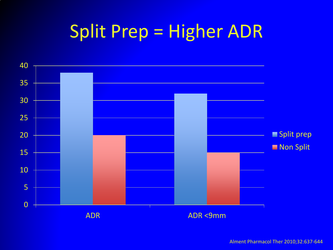### Split Prep = Higher ADR

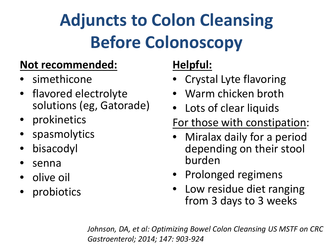### **Adjuncts to Colon Cleansing Before Colonoscopy**

#### **Not recommended:**

- simethicone
- flavored electrolyte solutions (eg, Gatorade)
- prokinetics
- spasmolytics
- **bisacodyl**
- senna
- olive oil
- probiotics

### **Helpful:**

- Crystal Lyte flavoring
- Warm chicken broth
- Lots of clear liquids

#### For those with constipation:

- Miralax daily for a period depending on their stool burden
- Prolonged regimens
- Low residue diet ranging from 3 days to 3 weeks

*Johnson, DA, et al: Optimizing Bowel Colon Cleansing US MSTF on CRC Gastroenterol; 2014; 147: 903-924*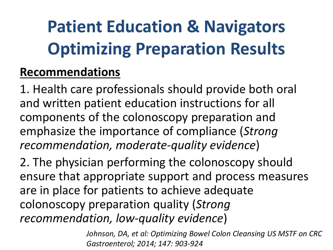### **Patient Education & Navigators Optimizing Preparation Results**

#### **Recommendations**

1. Health care professionals should provide both oral and written patient education instructions for all components of the colonoscopy preparation and emphasize the importance of compliance (*Strong recommendation, moderate-quality evidence*)

2. The physician performing the colonoscopy should ensure that appropriate support and process measures are in place for patients to achieve adequate colonoscopy preparation quality (*Strong recommendation, low-quality evidence*)

> *Johnson, DA, et al: Optimizing Bowel Colon Cleansing US MSTF on CRC Gastroenterol; 2014; 147: 903-924*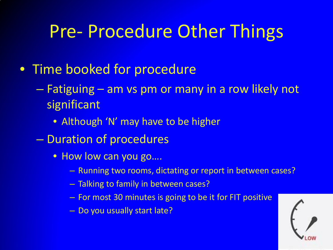### Pre- Procedure Other Things

- Time booked for procedure
	- Fatiguing am vs pm or many in a row likely not significant
		- Although 'N' may have to be higher
	- Duration of procedures
		- How low can you go....
			- Running two rooms, dictating or report in between cases?
			- Talking to family in between cases?
			- For most 30 minutes is going to be it for FIT positive
			- Do you usually start late?

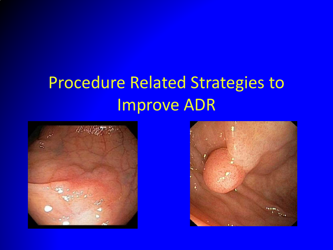### Procedure Related Strategies to Improve ADR



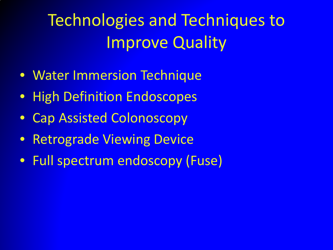Technologies and Techniques to Improve Quality

- Water Immersion Technique
- **High Definition Endoscopes**
- Cap Assisted Colonoscopy
- Retrograde Viewing Device
- Full spectrum endoscopy (Fuse)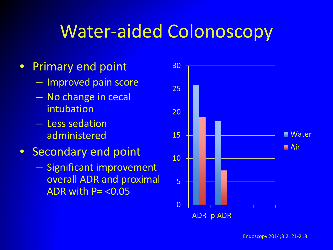### Water-aided Colonoscopy

- Primary end point
	- Improved pain score
	- No change in cecal intubation
	- Less sedation administered
- Secondary end point
	- Significant improvement overall ADR and proximal ADR with  $P = < 0.05$

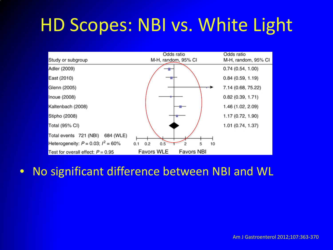### HD Scopes: NBI vs. White Light



#### • No significant difference between NBI and WL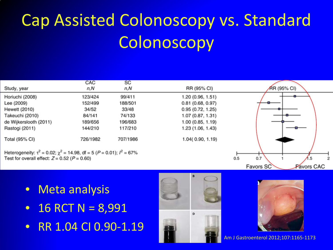### Cap Assisted Colonoscopy vs. Standard **Colonoscopy**

| Study, year                                                                                               | CAC<br>n,N | SC<br>n,N | RR (95% CI)       | <b>AR (95% CI)</b> |
|-----------------------------------------------------------------------------------------------------------|------------|-----------|-------------------|--------------------|
|                                                                                                           |            |           |                   |                    |
| Horiuchi (2008)                                                                                           | 123/424    | 99/411    | 1.20 (0.96, 1.51) |                    |
| Lee (2009)                                                                                                | 152/499    | 188/501   | 0.81(0.68, 0.97)  |                    |
| Hewett (2010)                                                                                             | 34/52      | 33/48     | 0.95(0.72, 1.25)  |                    |
| Takeuchi (2010)                                                                                           | 84/141     | 74/133    | 1.07 (0.87, 1.31) |                    |
| de Wijkerslooth (2011)                                                                                    | 189/656    | 196/683   | 1.00 (0.85, 1.19) |                    |
| Rastogi (2011)                                                                                            | 144/210    | 117/210   | 1.23 (1.06, 1.43) |                    |
|                                                                                                           |            |           |                   |                    |
| Total (95% CI)                                                                                            | 726/1982   | 707/1986  | 1.04(0.90, 1.19)  |                    |
| $U_{\text{othercorrelation}}^2$ $\alpha$ 00. $\alpha^2$ = 14.00 $\alpha$ = $(D - 0.01)$ , $\beta$ = $C70$ |            |           |                   |                    |

B

 $\mathbf{D}$ 

Heterogeneity:  $\tau^2 = 0.02$ ;  $\chi^2 = 14.98$ , df = 5 (P = 0.01);  $I^2 = 67\%$ Test for overall effect:  $Z = 0.52$  ( $P = 0.60$ )

> • Meta analysis • 16 RCT N =  $8,991$ • RR 1.04 CI 0.90-1.19



**Favors CAC** 

Am J Gastroenterol 2012;107:1165-1173

 $0.7$ 

Favors SC

 $0.5$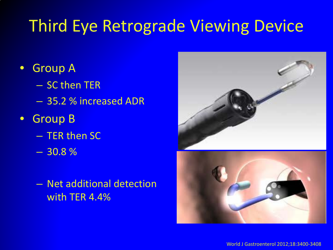### Third Eye Retrograde Viewing Device

- Group A
	- SC then TER
	- 35.2 % increased ADR
- Group B
	- TER then SC
	- $-30.8%$
	- Net additional detection with TER 4.4%



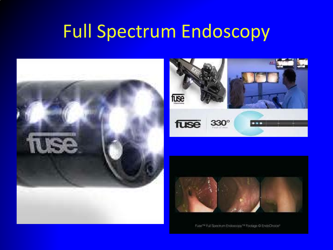### Full Spectrum Endoscopy







Fuse<sup>TM</sup> Full Spectrum Endoscopy<sup>TM</sup> Footage @ EndoOhoice<sup>+</sup>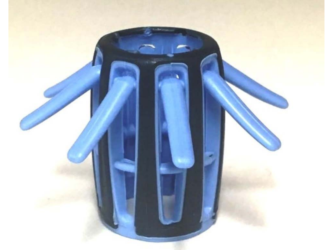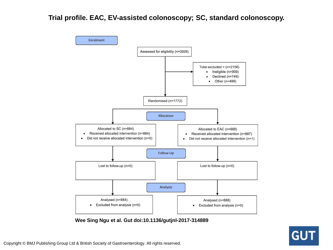#### **Trial profile. EAC, EV-assisted colonoscopy; SC, standard colonoscopy.**



**GUT** 

**Wee Sing Ngu et al. Gut doi:10.1136/gutjnl-2017-314889**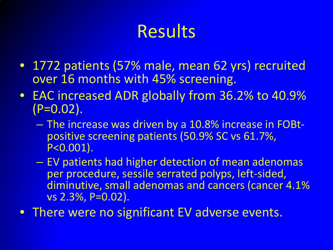### Results

- 1772 patients (57% male, mean 62 yrs) recruited over 16 months with 45% screening.
- EAC increased ADR globally from 36.2% to 40.9%  $(P=0.02)$ .
	- The increase was driven by a 10.8% increase in FOBt- positive screening patients (50.9% SC vs 61.7%, P<0.001).
	- EV patients had higher detection of mean adenomas per procedure, sessile serrated polyps, left-sided, diminutive, small adenomas and cancers (cancer 4.1% vs 2.3%, P=0.02).
- There were no significant EV adverse events.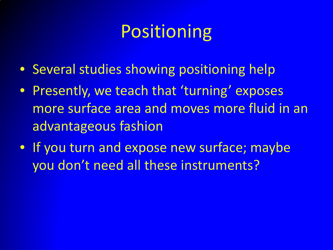### Positioning

- Several studies showing positioning help
- Presently, we teach that 'turning' exposes more surface area and moves more fluid in an advantageous fashion
- If you turn and expose new surface; maybe you don't need all these instruments?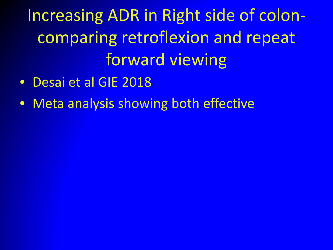Increasing ADR in Right side of coloncomparing retroflexion and repeat forward viewing

- Desai et al GIE 2018
- Meta analysis showing both effective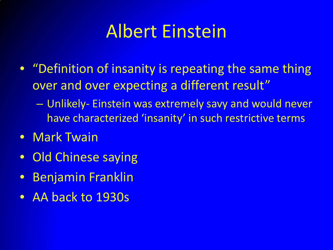### Albert Einstein

- "Definition of insanity is repeating the same thing over and over expecting a different result"
	- Unlikely- Einstein was extremely savy and would never have characterized 'insanity' in such restrictive terms
- Mark Twain
- Old Chinese saying
- Benjamin Franklin
- AA back to 1930s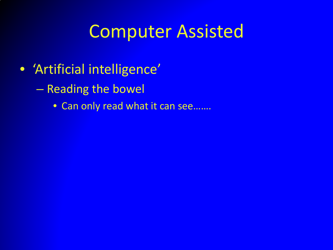### Computer Assisted

- 'Artificial intelligence'
	- Reading the bowel
		- Can only read what it can see…….